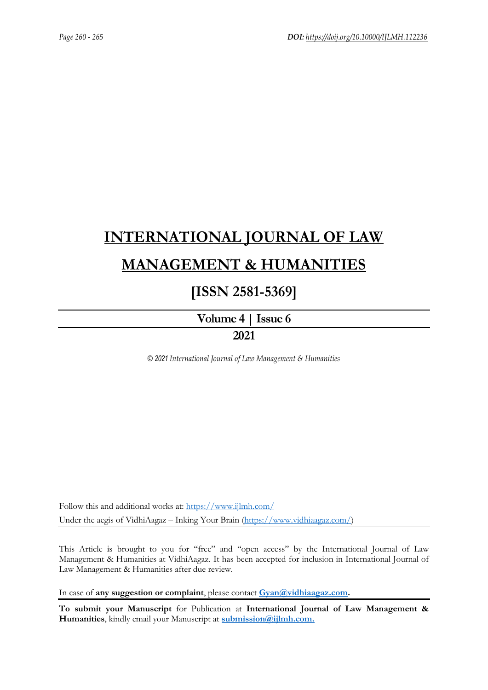# **[INTERNATIONAL JOURNAL OF LAW](https://www.ijlmh.com/)  [MANAGEMENT & HUMANITIES](https://www.ijlmh.com/)**

# **[ISSN 2581-5369]**

**[Volume 4 |](https://www.ijlmh.com/publications/volume-iv-issue-vi/) Issue 6**

# **2021**

*© 2021 International Journal of Law Management & Humanities*

Follow this and additional works at:<https://www.ijlmh.com/> Under the aegis of VidhiAagaz – Inking Your Brain [\(https://www.vidhiaagaz.com/\)](https://www.vidhiaagaz.com/)

This Article is brought to you for "free" and "open access" by the International Journal of Law Management & Humanities at VidhiAagaz. It has been accepted for inclusion in International Journal of Law Management & Humanities after due review.

In case of **any suggestion or complaint**, please contact **[Gyan@vidhiaagaz.com.](mailto:Gyan@vidhiaagaz.com)** 

**To submit your Manuscript** for Publication at **International Journal of Law Management & Humanities**, kindly email your Manuscript at **[submission@ijlmh.com.](mailto:submission@ijlmh.com)**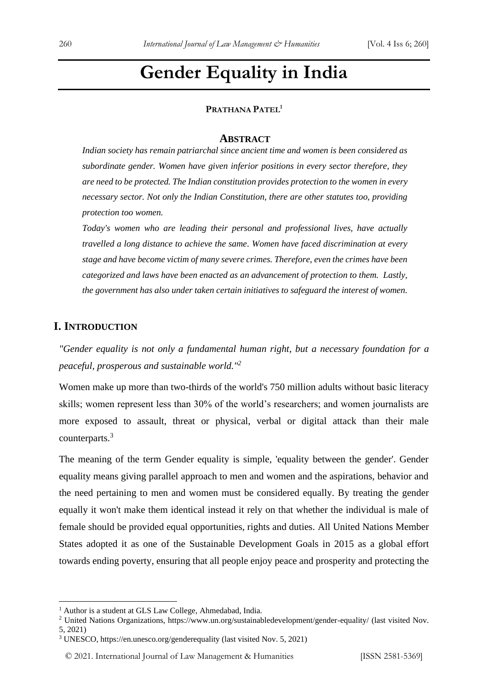# **Gender Equality in India**

#### **PRATHANA PATEL<sup>1</sup>**

#### **ABSTRACT**

*Indian society has remain patriarchal since ancient time and women is been considered as subordinate gender. Women have given inferior positions in every sector therefore, they are need to be protected. The Indian constitution provides protection to the women in every necessary sector. Not only the Indian Constitution, there are other statutes too, providing protection too women.* 

*Today's women who are leading their personal and professional lives, have actually travelled a long distance to achieve the same. Women have faced discrimination at every stage and have become victim of many severe crimes. Therefore, even the crimes have been categorized and laws have been enacted as an advancement of protection to them. Lastly, the government has also under taken certain initiatives to safeguard the interest of women.*

#### **I. INTRODUCTION**

*"Gender equality is not only a fundamental human right, but a necessary foundation for a peaceful, prosperous and sustainable world."<sup>2</sup>*

Women make up more than two-thirds of the world's 750 million adults without basic literacy skills; women represent less than 30% of the world's researchers; and women journalists are more exposed to assault, threat or physical, verbal or digital attack than their male counterparts.<sup>3</sup>

The meaning of the term Gender equality is simple, 'equality between the gender'. Gender equality means giving parallel approach to men and women and the aspirations, behavior and the need pertaining to men and women must be considered equally. By treating the gender equally it won't make them identical instead it rely on that whether the individual is male of female should be provided equal opportunities, rights and duties. All United Nations Member States adopted it as one of the Sustainable Development Goals in 2015 as a global effort towards ending poverty, ensuring that all people enjoy peace and prosperity and protecting the

<sup>&</sup>lt;sup>1</sup> Author is a student at GLS Law College, Ahmedabad, India.

<sup>&</sup>lt;sup>2</sup> United Nations Organizations, https://www.un.org/sustainabledevelopment/gender-equality/ (last visited Nov. 5, 2021)

<sup>3</sup> UNESCO, https://en.unesco.org/genderequality (last visited Nov. 5, 2021)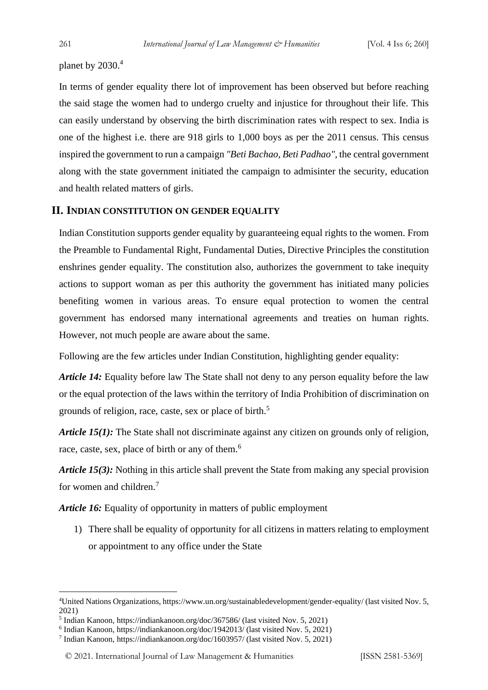planet by 2030.4

In terms of gender equality there lot of improvement has been observed but before reaching the said stage the women had to undergo cruelty and injustice for throughout their life. This can easily understand by observing the birth discrimination rates with respect to sex. India is one of the highest i.e. there are 918 girls to 1,000 boys as per the 2011 census. This census inspired the government to run a campaign *"Beti Bachao, Beti Padhao",* the central government along with the state government initiated the campaign to admisinter the security, education and health related matters of girls.

#### **II. INDIAN CONSTITUTION ON GENDER EQUALITY**

Indian Constitution supports gender equality by guaranteeing equal rights to the women. From the Preamble to Fundamental Right, Fundamental Duties, Directive Principles the constitution enshrines gender equality. The constitution also, authorizes the government to take inequity actions to support woman as per this authority the government has initiated many policies benefiting women in various areas. To ensure equal protection to women the central government has endorsed many international agreements and treaties on human rights. However, not much people are aware about the same.

Following are the few articles under Indian Constitution, highlighting gender equality:

*Article 14:* Equality before law The State shall not deny to any person equality before the law or the equal protection of the laws within the territory of India Prohibition of discrimination on grounds of religion, race, caste, sex or place of birth.<sup>5</sup>

*Article* 15(1): The State shall not discriminate against any citizen on grounds only of religion, race, caste, sex, place of birth or any of them.<sup>6</sup>

*Article* 15(3): Nothing in this article shall prevent the State from making any special provision for women and children.<sup>7</sup>

*Article 16:* Equality of opportunity in matters of public employment

1) There shall be equality of opportunity for all citizens in matters relating to employment or appointment to any office under the State

<sup>4</sup>United Nations Organizations, https://www.un.org/sustainabledevelopment/gender-equality/ (last visited Nov. 5, 2021)

<sup>5</sup> Indian Kanoon, https://indiankanoon.org/doc/367586/ (last visited Nov. 5, 2021)

<sup>6</sup> Indian Kanoon, https://indiankanoon.org/doc/1942013/ (last visited Nov. 5, 2021)

<sup>7</sup> Indian Kanoon, https://indiankanoon.org/doc/1603957/ (last visited Nov. 5, 2021)

<sup>© 2021.</sup> International Journal of [Law Management & Humanities](https://www.ijlmh.com/) [ISSN 2581-5369]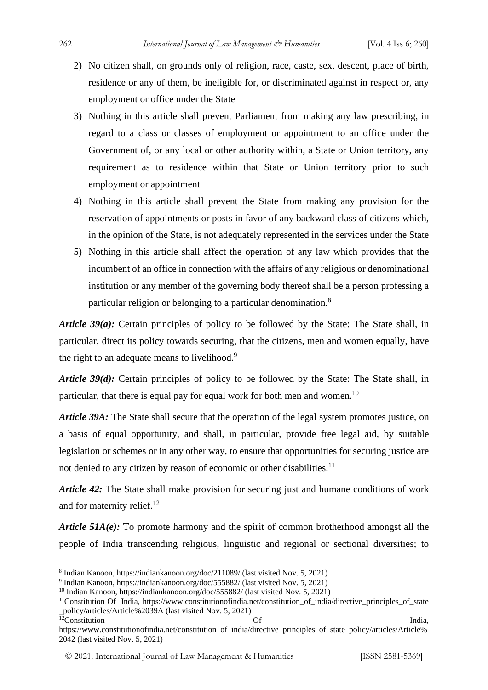- 2) No citizen shall, on grounds only of religion, race, caste, sex, descent, place of birth, residence or any of them, be ineligible for, or discriminated against in respect or, any employment or office under the State
- 3) Nothing in this article shall prevent Parliament from making any law prescribing, in regard to a class or classes of employment or appointment to an office under the Government of, or any local or other authority within, a State or Union territory, any requirement as to residence within that State or Union territory prior to such employment or appointment
- 4) Nothing in this article shall prevent the State from making any provision for the reservation of appointments or posts in favor of any backward class of citizens which, in the opinion of the State, is not adequately represented in the services under the State
- 5) Nothing in this article shall affect the operation of any law which provides that the incumbent of an office in connection with the affairs of any religious or denominational institution or any member of the governing body thereof shall be a person professing a particular religion or belonging to a particular denomination.<sup>8</sup>

*Article* 39(*a*): Certain principles of policy to be followed by the State: The State shall, in particular, direct its policy towards securing, that the citizens, men and women equally, have the right to an adequate means to livelihood.<sup>9</sup>

*Article 39(d):* Certain principles of policy to be followed by the State: The State shall, in particular, that there is equal pay for equal work for both men and women.<sup>10</sup>

*Article 39A:* The State shall secure that the operation of the legal system promotes justice, on a basis of equal opportunity, and shall, in particular, provide free legal aid, by suitable legislation or schemes or in any other way, to ensure that opportunities for securing justice are not denied to any citizen by reason of economic or other disabilities.<sup>11</sup>

*Article* 42: The State shall make provision for securing just and humane conditions of work and for maternity relief.<sup>12</sup>

*Article 51A(e):* To promote harmony and the spirit of common brotherhood amongst all the people of India transcending religious, linguistic and regional or sectional diversities; to

<sup>8</sup> Indian Kanoon, https://indiankanoon.org/doc/211089/ (last visited Nov. 5, 2021)

<sup>&</sup>lt;sup>9</sup> Indian Kanoon, https://indiankanoon.org/doc/555882/ (last visited Nov. 5, 2021)

<sup>&</sup>lt;sup>10</sup> Indian Kanoon, https://indiankanoon.org/doc/555882/ (last visited Nov. 5, 2021)

<sup>&</sup>lt;sup>11</sup>Constitution Of India, https://www.constitutionofindia.net/constitution of india/directive principles of state \_policy/articles/Article%2039A (last visited Nov. 5, 2021)  $12$ Constitution Of India,

https://www.constitutionofindia.net/constitution\_of\_india/directive\_principles\_of\_state\_policy/articles/Article% 2042 (last visited Nov. 5, 2021)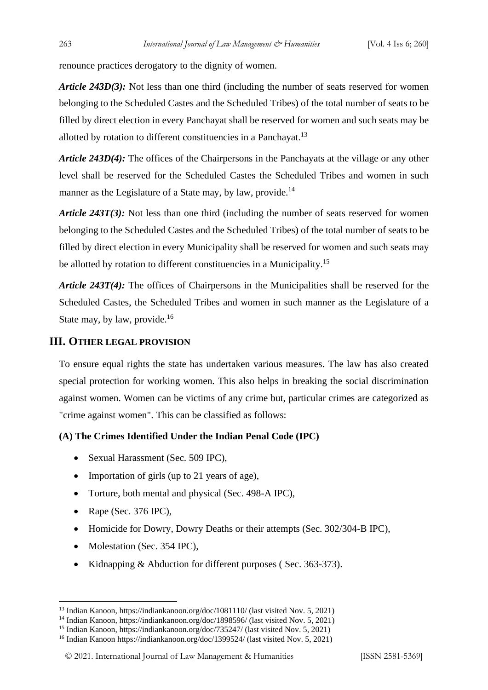renounce practices derogatory to the dignity of women.

*Article 243D(3):* Not less than one third (including the number of seats reserved for women belonging to the Scheduled Castes and the Scheduled Tribes) of the total number of seats to be filled by direct election in every Panchayat shall be reserved for women and such seats may be allotted by rotation to different constituencies in a Panchayat.<sup>13</sup>

*Article 243D(4):* The offices of the Chairpersons in the Panchayats at the village or any other level shall be reserved for the Scheduled Castes the Scheduled Tribes and women in such manner as the Legislature of a State may, by law, provide.<sup>14</sup>

*Article* 243T(3): Not less than one third (including the number of seats reserved for women belonging to the Scheduled Castes and the Scheduled Tribes) of the total number of seats to be filled by direct election in every Municipality shall be reserved for women and such seats may be allotted by rotation to different constituencies in a Municipality.<sup>15</sup>

*Article 243T(4):* The offices of Chairpersons in the Municipalities shall be reserved for the Scheduled Castes, the Scheduled Tribes and women in such manner as the Legislature of a State may, by law, provide.<sup>16</sup>

#### **III. OTHER LEGAL PROVISION**

To ensure equal rights the state has undertaken various measures. The law has also created special protection for working women. This also helps in breaking the social discrimination against women. Women can be victims of any crime but, particular crimes are categorized as "crime against women". This can be classified as follows:

#### **(A) The Crimes Identified Under the Indian Penal Code (IPC)**

- Sexual Harassment (Sec. 509 IPC),
- Importation of girls (up to 21 years of age),
- Torture, both mental and physical (Sec. 498-A IPC),
- Rape (Sec. 376 IPC),
- Homicide for Dowry, Dowry Deaths or their attempts (Sec. 302/304-B IPC),
- Molestation (Sec. 354 IPC),
- Kidnapping & Abduction for different purposes ( Sec. 363-373).

<sup>13</sup> Indian Kanoon, https://indiankanoon.org/doc/1081110/ (last visited Nov. 5, 2021)

<sup>&</sup>lt;sup>14</sup> Indian Kanoon, https://indiankanoon.org/doc/1898596/ (last visited Nov. 5, 2021)

<sup>15</sup> Indian Kanoon, https://indiankanoon.org/doc/735247/ (last visited Nov. 5, 2021)

<sup>16</sup> Indian Kanoon https://indiankanoon.org/doc/1399524/ (last visited Nov. 5, 2021)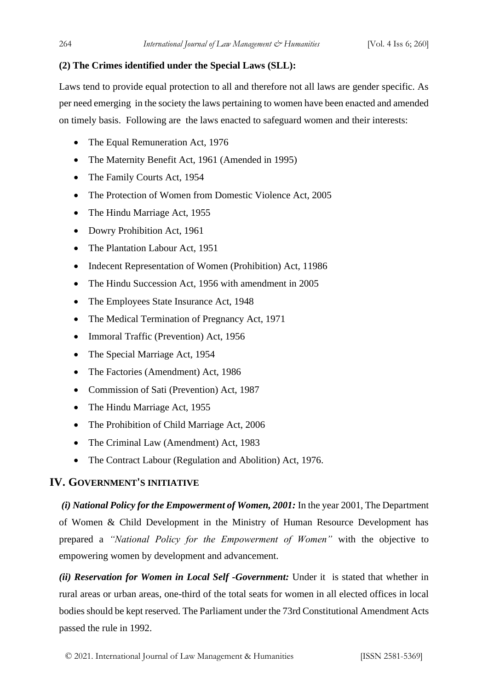### **(2) The Crimes identified under the Special Laws (SLL):**

Laws tend to provide equal protection to all and therefore not all laws are gender specific. As per need emerging in the society the laws pertaining to women have been enacted and amended on timely basis. Following are the laws enacted to safeguard women and their interests:

- The Equal Remuneration Act, 1976
- The Maternity Benefit Act, 1961 (Amended in 1995)
- The Family Courts Act, 1954
- The Protection of Women from Domestic Violence Act, 2005
- The Hindu Marriage Act, 1955
- Dowry Prohibition Act, 1961
- The Plantation Labour Act, 1951
- Indecent Representation of Women (Prohibition) Act, 11986
- The Hindu Succession Act, 1956 with amendment in 2005
- The Employees State Insurance Act, 1948
- The Medical Termination of Pregnancy Act, 1971
- Immoral Traffic (Prevention) Act, 1956
- The Special Marriage Act, 1954
- The Factories (Amendment) Act, 1986
- Commission of Sati (Prevention) Act, 1987
- The Hindu Marriage Act, 1955
- The Prohibition of Child Marriage Act, 2006
- The Criminal Law (Amendment) Act, 1983
- The Contract Labour (Regulation and Abolition) Act, 1976.

## **IV. GOVERNMENT'S INITIATIVE**

*(i) National Policy for the Empowerment of Women, 2001:* In the year 2001, The Department of Women & Child Development in the Ministry of Human Resource Development has prepared a *"National Policy for the Empowerment of Women"* with the objective to empowering women by development and advancement.

*(ii) Reservation for Women in Local Self -Government:* Under it is stated that whether in rural areas or urban areas, one-third of the total seats for women in all elected offices in local bodies should be kept reserved. The Parliament under the 73rd Constitutional Amendment Acts passed the rule in 1992.